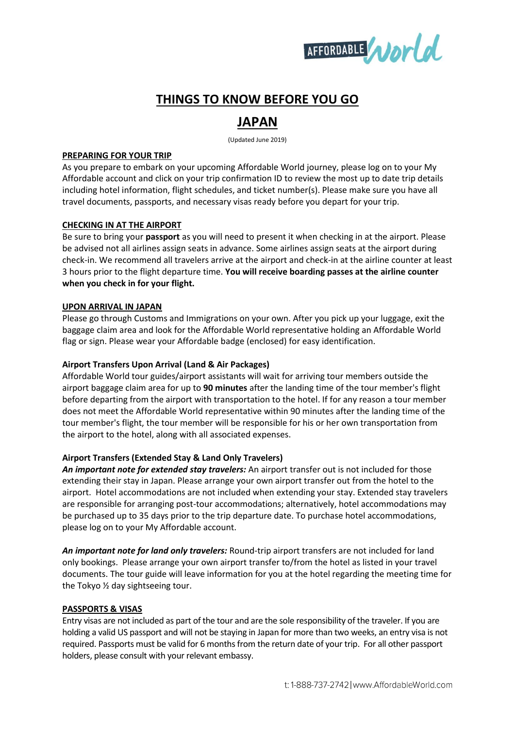

# **THINGS TO KNOW BEFORE YOU GO**

# **JAPAN**

(Updated June 2019)

#### **PREPARING FOR YOUR TRIP**

As you prepare to embark on your upcoming Affordable World journey, please log on to your My Affordable account and click on your trip confirmation ID to review the most up to date trip details including hotel information, flight schedules, and ticket number(s). Please make sure you have all travel documents, passports, and necessary visas ready before you depart for your trip.

## **CHECKING IN AT THE AIRPORT**

Be sure to bring your **passport** as you will need to present it when checking in at the airport. Please be advised not all airlines assign seats in advance. Some airlines assign seats at the airport during check-in. We recommend all travelers arrive at the airport and check-in at the airline counter at least 3 hours prior to the flight departure time. **You will receive boarding passes at the airline counter when you check in for your flight.**

## **UPON ARRIVAL IN JAPAN**

Please go through Customs and Immigrations on your own. After you pick up your luggage, exit the baggage claim area and look for the Affordable World representative holding an Affordable World flag or sign. Please wear your Affordable badge (enclosed) for easy identification.

#### **Airport Transfers Upon Arrival (Land & Air Packages)**

Affordable World tour guides/airport assistants will wait for arriving tour members outside the airport baggage claim area for up to **90 minutes** after the landing time of the tour member's flight before departing from the airport with transportation to the hotel. If for any reason a tour member does not meet the Affordable World representative within 90 minutes after the landing time of the tour member's flight, the tour member will be responsible for his or her own transportation from the airport to the hotel, along with all associated expenses.

# **Airport Transfers (Extended Stay & Land Only Travelers)**

*An important note for extended stay travelers:* An airport transfer out is not included for those extending their stay in Japan. Please arrange your own airport transfer out from the hotel to the airport. Hotel accommodations are not included when extending your stay. Extended stay travelers are responsible for arranging post-tour accommodations; alternatively, hotel accommodations may be purchased up to 35 days prior to the trip departure date. To purchase hotel accommodations, please log on to your My Affordable account.

*An important note for land only travelers:* Round-trip airport transfers are not included for land only bookings. Please arrange your own airport transfer to/from the hotel as listed in your travel documents. The tour guide will leave information for you at the hotel regarding the meeting time for the Tokyo ½ day sightseeing tour.

#### **PASSPORTS & VISAS**

Entry visas are not included as part of the tour and are the sole responsibility of the traveler. If you are holding a valid US passport and will not be staying in Japan for more than two weeks, an entry visa is not required. Passports must be valid for 6 months from the return date of your trip. For all other passport holders, please consult with your relevant embassy.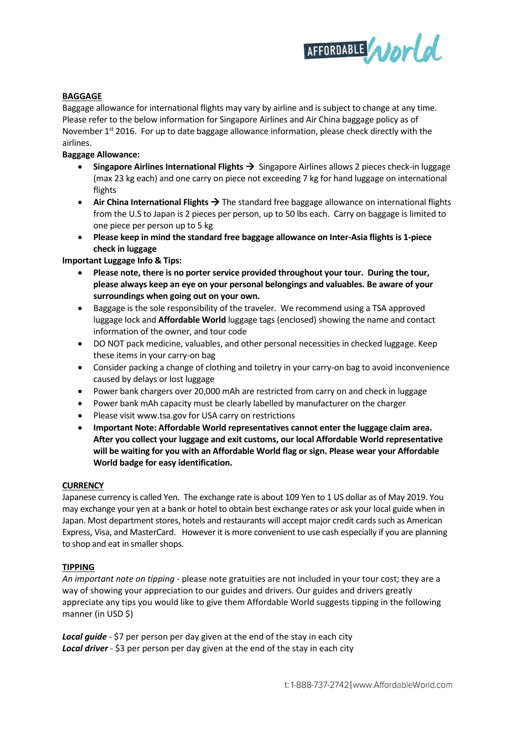

## **BAGGAGE**

Baggage allowance for international flights may vary by airline and is subject to change at any time. Please refer to the below information for Singapore Airlines and Air China baggage policy as of November  $1<sup>st</sup>$  2016. For up to date baggage allowance information, please check directly with the airlines.

#### **Baggage Allowance:**

- **Singapore Airlines International Flights** →Singapore Airlines allows 2 pieces check-in luggage (max 23 kg each) and one carry on piece not exceeding 7 kg for hand luggage on international flights
- Air China International Flights → The standard free baggage allowance on international flights from the U.S to Japan is 2 pieces per person, up to 50 lbs each. Carry on baggage is limited to one piece per person up to 5 kg
- **Please keep in mind the standard free baggage allowance on Inter-Asia flights is 1-piece check in luggage**

## **Important Luggage Info & Tips:**

- **Please note, there is no porter service provided throughout your tour. During the tour, please always keep an eye on your personal belongings and valuables. Be aware of your surroundings when going out on your own.**
- Baggage is the sole responsibility of the traveler. We recommend using a TSA approved luggage lock and **Affordable World** luggage tags (enclosed) showing the name and contact information of the owner, and tour code
- DO NOT pack medicine, valuables, and other personal necessities in checked luggage. Keep these items in your carry-on bag
- Consider packing a change of clothing and toiletry in your carry-on bag to avoid inconvenience caused by delays or lost luggage
- Power bank chargers over 20,000 mAh are restricted from carry on and check in luggage
- Power bank mAh capacity must be clearly labelled by manufacturer on the charger
- Please visit www.tsa.gov for USA carry on restrictions
- **Important Note: Affordable World representatives cannot enter the luggage claim area. After you collect your luggage and exit customs, our local Affordable World representative will be waiting for you with an Affordable World flag or sign. Please wear your Affordable World badge for easy identification.**

#### **CURRENCY**

Japanese currency is called Yen. The exchange rate is about 109 Yen to 1 US dollar as of May 2019. You may exchange your yen at a bank or hotel to obtain best exchange rates or ask your local guide when in Japan. Most department stores, hotels and restaurants will accept major credit cards such as American Express, Visa, and MasterCard. However it is more convenient to use cash especially if you are planning to shop and eat in smaller shops.

#### **TIPPING**

*An important note on tipping* - please note gratuities are not included in your tour cost; they are a way of showing your appreciation to our guides and drivers. Our guides and drivers greatly appreciate any tips you would like to give them Affordable World suggests tipping in the following manner (in USD \$)

**Local guide** - \$7 per person per day given at the end of the stay in each city **Local driver** - \$3 per person per day given at the end of the stay in each city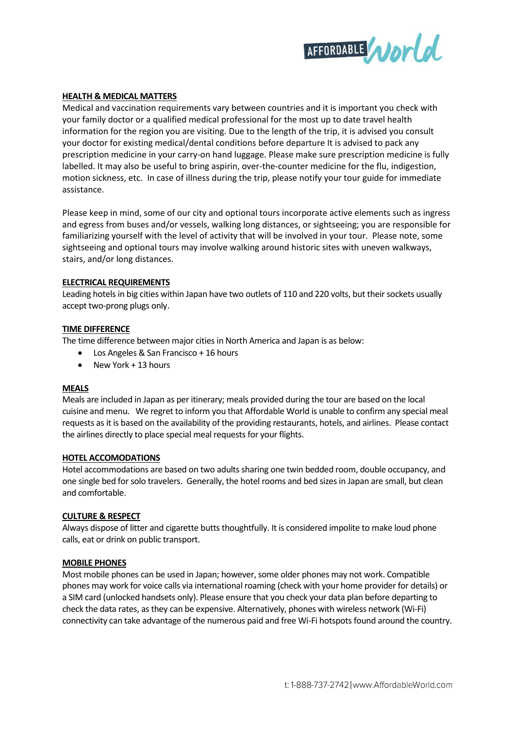

#### **HEALTH & MEDICAL MATTERS**

Medical and vaccination requirements vary between countries and it is important you check with your family doctor or a qualified medical professional for the most up to date travel health information for the region you are visiting. Due to the length of the trip, it is advised you consult your doctor for existing medical/dental conditions before departure It is advised to pack any prescription medicine in your carry-on hand luggage. Please make sure prescription medicine is fully labelled. It may also be useful to bring aspirin, over-the-counter medicine for the flu, indigestion, motion sickness, etc. In case of illness during the trip, please notify your tour guide for immediate assistance.

Please keep in mind, some of our city and optional tours incorporate active elements such as ingress and egress from buses and/or vessels, walking long distances, or sightseeing; you are responsible for familiarizing yourself with the level of activity that will be involved in your tour. Please note, some sightseeing and optional tours may involve walking around historic sites with uneven walkways, stairs, and/or long distances.

#### **ELECTRICAL REQUIREMENTS**

Leading hotels in big cities within Japan have two outlets of 110 and 220 volts, but their sockets usually accept two-prong plugs only.

#### **TIME DIFFERENCE**

The time difference between major cities in North America and Japan is as below:

- Los Angeles & San Francisco + 16 hours
- New York + 13 hours

#### **MEALS**

Meals are included in Japan as per itinerary; meals provided during the tour are based on the local cuisine and menu. We regret to inform you that Affordable World is unable to confirm any special meal requests as it is based on the availability of the providing restaurants, hotels, and airlines. Please contact the airlines directly to place special meal requests for your flights.

#### **HOTEL ACCOMODATIONS**

Hotel accommodations are based on two adults sharing one twin bedded room, double occupancy, and one single bed for solo travelers. Generally, the hotel rooms and bed sizesin Japan are small, but clean and comfortable.

#### **CULTURE & RESPECT**

Always dispose of litter and cigarette butts thoughtfully. It is considered impolite to make loud phone calls, eat or drink on public transport.

#### **MOBILE PHONES**

Most mobile phones can be used in Japan; however, some older phones may not work. Compatible phones may work for voice calls via international roaming (check with your home provider for details) or a SIM card (unlocked handsets only). Please ensure that you check your data plan before departing to check the data rates, as they can be expensive. Alternatively, phones with wireless network (Wi-Fi) connectivity can take advantage of the numerous paid and free Wi-Fi hotspots found around the country.